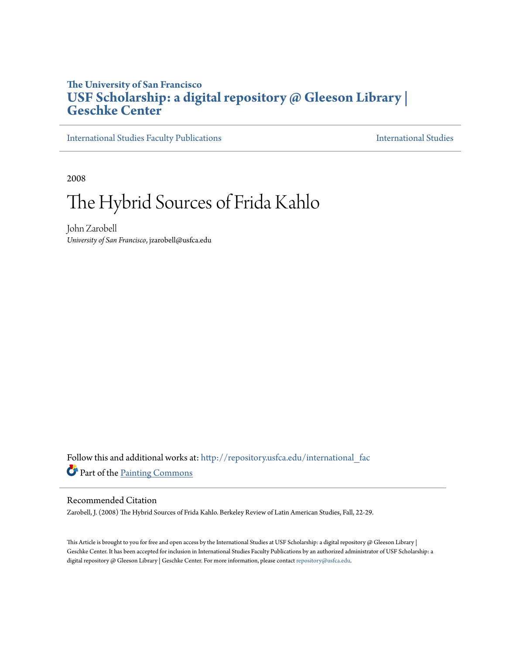### **The University of San Francisco [USF Scholarship: a digital repository @ Gleeson Library |](http://repository.usfca.edu?utm_source=repository.usfca.edu%2Finternational_fac%2F1&utm_medium=PDF&utm_campaign=PDFCoverPages) [Geschke Center](http://repository.usfca.edu?utm_source=repository.usfca.edu%2Finternational_fac%2F1&utm_medium=PDF&utm_campaign=PDFCoverPages)**

[International Studies Faculty Publications](http://repository.usfca.edu/international_fac?utm_source=repository.usfca.edu%2Finternational_fac%2F1&utm_medium=PDF&utm_campaign=PDFCoverPages) **[International Studies](http://repository.usfca.edu/international?utm_source=repository.usfca.edu%2Finternational_fac%2F1&utm_medium=PDF&utm_campaign=PDFCoverPages)** International Studies

2008

### The Hybrid Sources of Frida Kahlo

John Zarobell *University of San Francisco*, jzarobell@usfca.edu

Follow this and additional works at: [http://repository.usfca.edu/international\\_fac](http://repository.usfca.edu/international_fac?utm_source=repository.usfca.edu%2Finternational_fac%2F1&utm_medium=PDF&utm_campaign=PDFCoverPages) Part of the [Painting Commons](http://network.bepress.com/hgg/discipline/1339?utm_source=repository.usfca.edu%2Finternational_fac%2F1&utm_medium=PDF&utm_campaign=PDFCoverPages)

#### Recommended Citation

Zarobell, J. (2008) The Hybrid Sources of Frida Kahlo. Berkeley Review of Latin American Studies, Fall, 22-29.

This Article is brought to you for free and open access by the International Studies at USF Scholarship: a digital repository @ Gleeson Library | Geschke Center. It has been accepted for inclusion in International Studies Faculty Publications by an authorized administrator of USF Scholarship: a digital repository @ Gleeson Library | Geschke Center. For more information, please contact [repository@usfca.edu](mailto:repository@usfca.edu).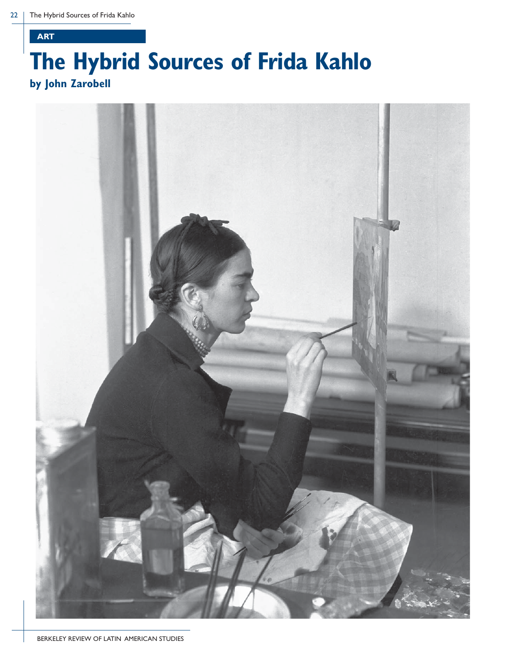**ART**

## **The Hybrid Sources of Frida Kahlo by John Zarobell**

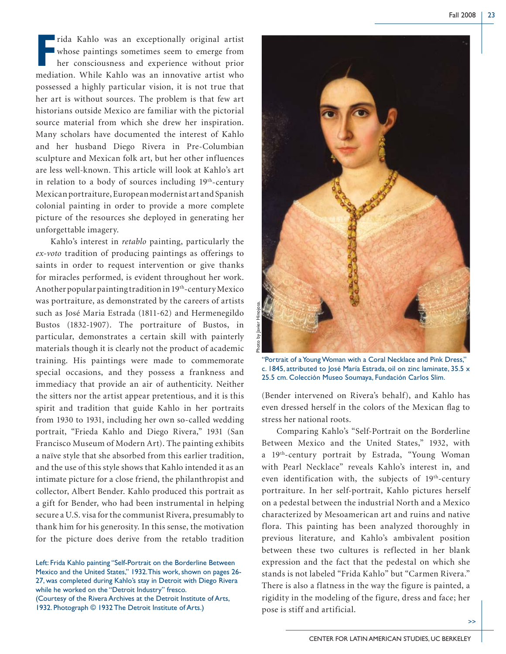Fida Kahlo was an exceptionally original artist<br>whose paintings sometimes seem to emerge from<br>her consciousness and experience without prior<br>mediation. While Kahlo was an innovative artist who rida Kahlo was an exceptionally original artist whose paintings sometimes seem to emerge from her consciousness and experience without prior possessed a highly particular vision, it is not true that her art is without sources. The problem is that few art historians outside Mexico are familiar with the pictorial source material from which she drew her inspiration. Many scholars have documented the interest of Kahlo and her husband Diego Rivera in Pre-Columbian sculpture and Mexican folk art, but her other influences are less well-known. This article will look at Kahlo's art in relation to a body of sources including 19th-century Mexican portraiture, European modernist art and Spanish colonial painting in order to provide a more complete picture of the resources she deployed in generating her unforgettable imagery.

 Kahlo's interest in *retablo* painting, particularly the *ex-voto* tradition of producing paintings as offerings to saints in order to request intervention or give thanks for miracles performed, is evident throughout her work. Another popular painting tradition in  $19<sup>th</sup>$ -century Mexico was portraiture, as demonstrated by the careers of artists such as José Maria Estrada (1811-62) and Hermenegildo Bustos (1832-1907). The portraiture of Bustos, in particular, demonstrates a certain skill with painterly materials though it is clearly not the product of academic training. His paintings were made to commemorate special occasions, and they possess a frankness and immediacy that provide an air of authenticity. Neither the sitters nor the artist appear pretentious, and it is this spirit and tradition that guide Kahlo in her portraits from 1930 to 1931, including her own so-called wedding portrait, "Frieda Kahlo and Diego Rivera," 1931 (San Francisco Museum of Modern Art). The painting exhibits a naïve style that she absorbed from this earlier tradition, and the use of this style shows that Kahlo intended it as an intimate picture for a close friend, the philanthropist and collector, Albert Bender. Kahlo produced this portrait as a gift for Bender, who had been instrumental in helping secure a U.S. visa for the communist Rivera, presumably to thank him for his generosity. In this sense, the motivation for the picture does derive from the retablo tradition

Left: Frida Kahlo painting "Self-Portrait on the Borderline Between Mexico and the United States," 1932. This work, shown on pages 26- 27, was completed during Kahlo's stay in Detroit with Diego Rivera while he worked on the "Detroit Industry" fresco. (Courtesy of the Rivera Archives at the Detroit Institute of Arts, 1932. Photograph © 1932 The Detroit Institute of Arts.)



"Portrait of a Young Woman with a Coral Necklace and Pink Dress," c. 1845, attributed to José María Estrada, oil on zinc laminate, 35.5 x 25.5 cm. Colección Museo Soumaya, Fundación Carlos Slim.

(Bender intervened on Rivera's behalf), and Kahlo has even dressed herself in the colors of the Mexican flag to stress her national roots.

 Comparing Kahlo's "Self-Portrait on the Borderline Between Mexico and the United States," 1932, with a 19th-century portrait by Estrada, "Young Woman with Pearl Necklace" reveals Kahlo's interest in, and even identification with, the subjects of 19<sup>th</sup>-century portraiture. In her self-portrait, Kahlo pictures herself on a pedestal between the industrial North and a Mexico characterized by Mesoamerican art and ruins and native flora. This painting has been analyzed thoroughly in previous literature, and Kahlo's ambivalent position between these two cultures is reflected in her blank expression and the fact that the pedestal on which she stands is not labeled "Frida Kahlo" but "Carmen Rivera." There is also a flatness in the way the figure is painted, a rigidity in the modeling of the figure, dress and face; her pose is stiff and artificial.

>>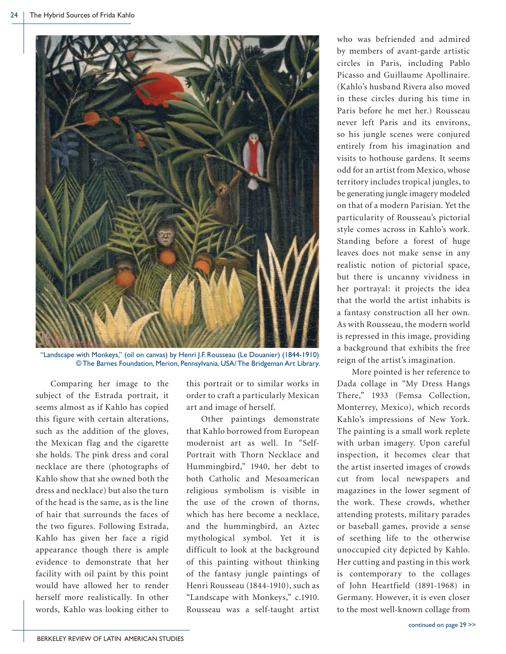

"Landscape with Monkeys," (oil on canvas) by Henri J.F. Rousseau (Le Douanier) (1844-1910) © The Barnes Foundation, Merion, Pennsylvania, USA/ The Bridgeman Art Library.

 Comparing her image to the subject of the Estrada portrait, it seems almost as if Kahlo has copied this figure with certain alterations, such as the addition of the gloves, the Mexican flag and the cigarette she holds. The pink dress and coral necklace are there (photographs of Kahlo show that she owned both the dress and necklace) but also the turn of the head is the same, as is the line of hair that surrounds the faces of the two figures. Following Estrada, Kahlo has given her face a rigid appearance though there is ample evidence to demonstrate that her facility with oil paint by this point would have allowed her to render herself more realistically. In other words, Kahlo was looking either to

this portrait or to similar works in order to craft a particularly Mexican art and image of herself.

 Other paintings demonstrate that Kahlo borrowed from European modernist art as well. In "Self-Portrait with Thorn Necklace and Hummingbird," 1940, her debt to both Catholic and Mesoamerican religious symbolism is visible in the use of the crown of thorns, which has here become a necklace, and the hummingbird, an Aztec mythological symbol. Yet it is difficult to look at the background of this painting without thinking of the fantasy jungle paintings of Henri Rousseau (1844-1910), such as "Landscape with Monkeys," c.1910. Rousseau was a self-taught artist

who was befriended and admired by members of avant-garde artistic circles in Paris, including Pablo Picasso and Guillaume Apollinaire. (Kahlo's husband Rivera also moved in these circles during his time in Paris before he met her.) Rousseau never left Paris and its environs, so his jungle scenes were conjured entirely from his imagination and visits to hothouse gardens. It seems odd for an artist from Mexico, whose territory includes tropical jungles, to be generating jungle imagery modeled on that of a modern Parisian. Yet the particularity of Rousseau's pictorial style comes across in Kahlo's work. Standing before a forest of huge leaves does not make sense in any realistic notion of pictorial space, but there is uncanny vividness in her portrayal: it projects the idea that the world the artist inhabits is a fantasy construction all her own. As with Rousseau, the modern world is repressed in this image, providing a background that exhibits the free reign of the artist's imagination.

 More pointed is her reference to Dada collage in "My Dress Hangs There," 1933 (Femsa Collection, Monterrey, Mexico), which records Kahlo's impressions of New York. The painting is a small work replete with urban imagery. Upon careful inspection, it becomes clear that the artist inserted images of crowds cut from local newspapers and magazines in the lower segment of the work. These crowds, whether attending protests, military parades or baseball games, provide a sense of seething life to the otherwise unoccupied city depicted by Kahlo. Her cutting and pasting in this work is contemporary to the collages of John Heartfield (1891-1968) in Germany. However, it is even closer to the most well-known collage from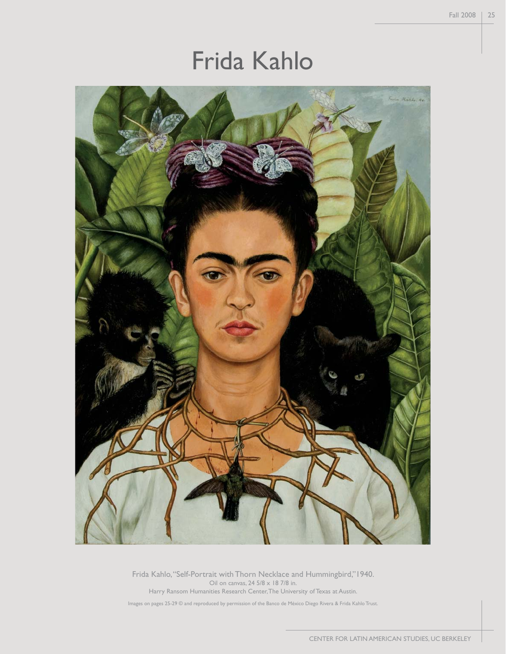# Frida Kahlo



Frida Kahlo, "Self-Portrait with Thorn Necklace and Hummingbird,"1940. Oil on canvas, 24 5/8 x 18 7/8 in. Harry Ransom Humanities Research Center, The University of Texas at Austin. Images on pages 25-29 © and reproduced by permission of the Banco de México Diego Rivera & Frida Kahlo Trust.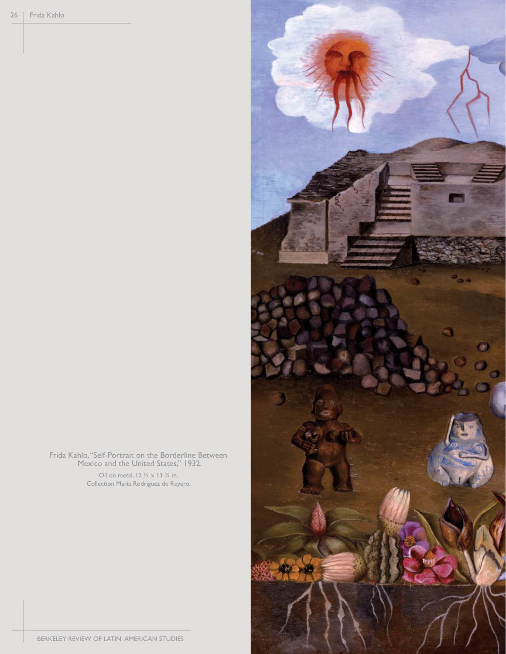Frida Kahlo, "Self-Portrait on the Borderline Between Mexico and the United States," 1932. Oil on metal,  $12 \frac{1}{2} \times 13 \frac{3}{4}$  in. Collection Maria Rodriguez de Reyero.

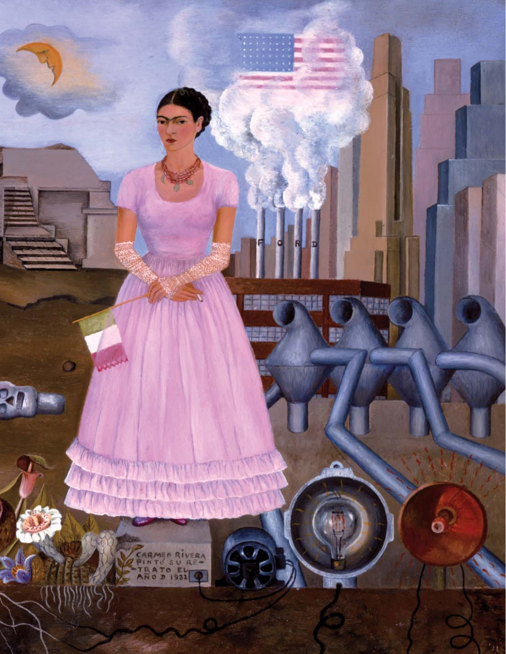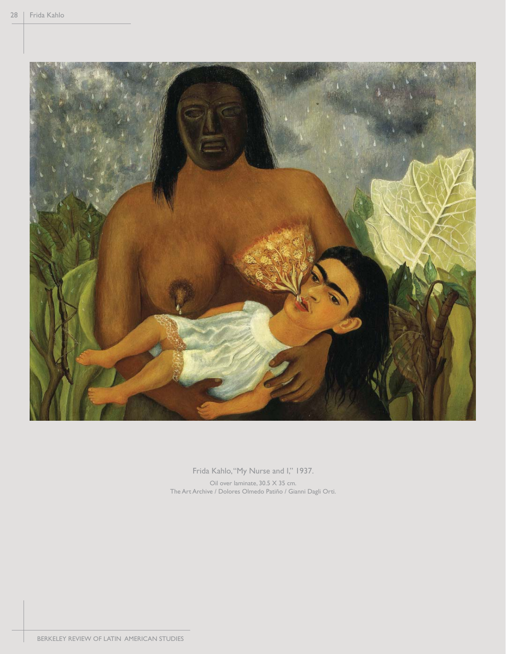

Frida Kahlo, "My Nurse and I," 1937. Oil over laminate, 30.5 X 35 cm. The Art Archive / Dolores Olmedo Patiño / Gianni Dagli Orti.